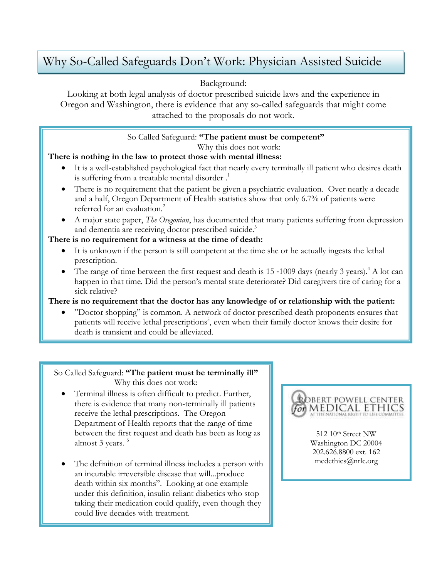# Why So-Called Safeguards Don't Work: Physician Assisted Suicide

## Background:

Looking at both legal analysis of doctor prescribed suicide laws and the experience in Oregon and Washington, there is evidence that any so-called safeguards that might come attached to the proposals do not work.

# So Called Safeguard: **"The patient must be competent"**

Why this does not work:

## **There is nothing in the law to protect those with mental illness:**

- It is a well-established psychological fact that nearly every terminally ill patient who desires death is suffering from a treatable mental disorder.<sup>1</sup>
- There is no requirement that the patient be given a psychiatric evaluation. Over nearly a decade and a half, Oregon Department of Health statistics show that only 6.7% of patients were referred for an evaluation.<sup>2</sup>
- A major state paper, *The Oregonian*, has documented that many patients suffering from depression and dementia are receiving doctor prescribed suicide.<sup>3</sup>

### **There is no requirement for a witness at the time of death:**

- It is unknown if the person is still competent at the time she or he actually ingests the lethal prescription.
- The range of time between the first request and death is  $15 1009$  days (nearly 3 years).<sup>4</sup> A lot can happen in that time. Did the person's mental state deteriorate? Did caregivers tire of caring for a sick relative?

### **There is no requirement that the doctor has any knowledge of or relationship with the patient:**

 "Doctor shopping" is common. A network of doctor prescribed death proponents ensures that patients will receive lethal prescriptions<sup>5</sup>, even when their family doctor knows their desire for death is transient and could be alleviated.

#### So Called Safeguard: **"The patient must be terminally ill"** Why this does not work:

- Terminal illness is often difficult to predict. Further, there is evidence that many non-terminally ill patients receive the lethal prescriptions. The Oregon Department of Health reports that the range of time between the first request and death has been as long as almost 3 years.<sup>6</sup>
- The definition of terminal illness includes a person with an incurable irreversible disease that will...produce death within six months". Looking at one example under this definition, insulin reliant diabetics who stop taking their medication could qualify, even though they could live decades with treatment.



512 10th Street NW Washington DC 20004 202.626.8800 ext. 162 medethics@nrlc.org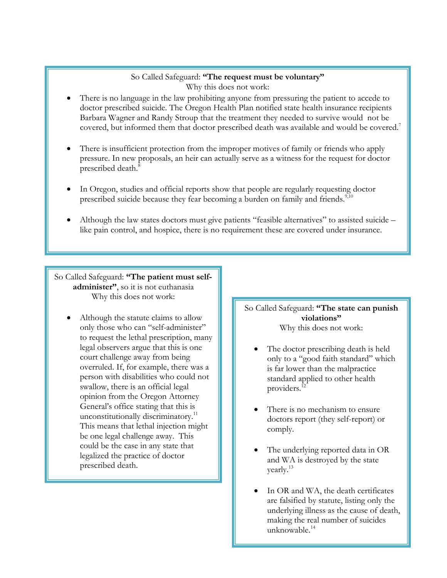### So Called Safeguard: **"The request must be voluntary"** Why this does not work:

- There is no language in the law prohibiting anyone from pressuring the patient to accede to doctor prescribed suicide. The Oregon Health Plan notified state health insurance recipients Barbara Wagner and Randy Stroup that the treatment they needed to survive would not be covered, but informed them that doctor prescribed death was available and would be covered.<sup>7</sup>
- There is insufficient protection from the improper motives of family or friends who apply pressure. In new proposals, an heir can actually serve as a witness for the request for doctor prescribed death.<sup>8</sup>
- In Oregon, studies and official reports show that people are regularly requesting doctor prescribed suicide because they fear becoming a burden on family and friends.<sup>9,10</sup>
- Although the law states doctors must give patients "feasible alternatives" to assisted suicide like pain control, and hospice, there is no requirement these are covered under insurance.

So Called Safeguard: **"The patient must selfadminister"**, so it is not euthanasia Why this does not work:

 Although the statute claims to allow only those who can "self-administer" to request the lethal prescription, many legal observers argue that this is one court challenge away from being overruled. If, for example, there was a person with disabilities who could not swallow, there is an official legal opinion from the Oregon Attorney General's office stating that this is unconstitutionally discriminatory.<sup>11</sup> This means that lethal injection might be one legal challenge away. This could be the case in any state that legalized the practice of doctor prescribed death.

So Called Safeguard: **"The state can punish violations"** Why this does not work:

- The doctor prescribing death is held only to a "good faith standard" which is far lower than the malpractice standard applied to other health providers.<sup>12</sup>
- There is no mechanism to ensure doctors report (they self-report) or comply.
- The underlying reported data in OR and WA is destroyed by the state yearly.<sup>13</sup>
- In OR and WA, the death certificates are falsified by statute, listing only the underlying illness as the cause of death, making the real number of suicides unknowable.<sup>14</sup>